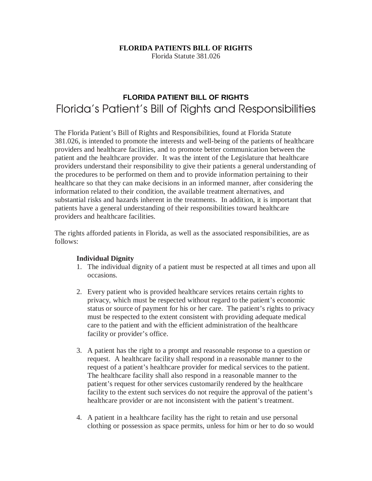## **FLORIDA PATIENTS BILL OF RIGHTS**

Florida Statute 381.026

# **FLORIDA PATIENT BILL OF RIGHTS**  Florida's Patient's Bill of Rights and Responsibilities

The Florida Patient's Bill of Rights and Responsibilities, found at Florida Statute 381.026, is intended to promote the interests and well-being of the patients of healthcare providers and healthcare facilities, and to promote better communication between the patient and the healthcare provider. It was the intent of the Legislature that healthcare providers understand their responsibility to give their patients a general understanding of the procedures to be performed on them and to provide information pertaining to their healthcare so that they can make decisions in an informed manner, after considering the information related to their condition, the available treatment alternatives, and substantial risks and hazards inherent in the treatments. In addition, it is important that patients have a general understanding of their responsibilities toward healthcare providers and healthcare facilities.

The rights afforded patients in Florida, as well as the associated responsibilities, are as follows:

#### **Individual Dignity**

- 1. The individual dignity of a patient must be respected at all times and upon all occasions.
- 2. Every patient who is provided healthcare services retains certain rights to privacy, which must be respected without regard to the patient's economic status or source of payment for his or her care. The patient's rights to privacy must be respected to the extent consistent with providing adequate medical care to the patient and with the efficient administration of the healthcare facility or provider's office.
- 3. A patient has the right to a prompt and reasonable response to a question or request. A healthcare facility shall respond in a reasonable manner to the request of a patient's healthcare provider for medical services to the patient. The healthcare facility shall also respond in a reasonable manner to the patient's request for other services customarily rendered by the healthcare facility to the extent such services do not require the approval of the patient's healthcare provider or are not inconsistent with the patient's treatment.
- 4. A patient in a healthcare facility has the right to retain and use personal clothing or possession as space permits, unless for him or her to do so would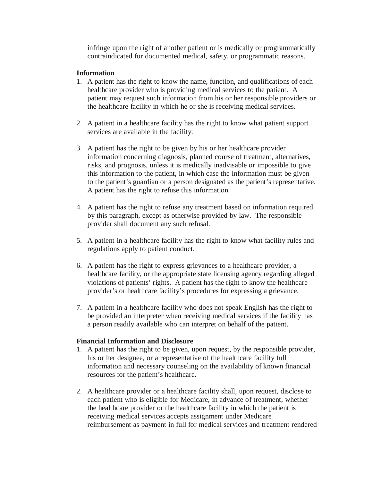infringe upon the right of another patient or is medically or programmatically contraindicated for documented medical, safety, or programmatic reasons.

### **Information**

- 1. A patient has the right to know the name, function, and qualifications of each healthcare provider who is providing medical services to the patient. A patient may request such information from his or her responsible providers or the healthcare facility in which he or she is receiving medical services.
- 2. A patient in a healthcare facility has the right to know what patient support services are available in the facility.
- 3. A patient has the right to be given by his or her healthcare provider information concerning diagnosis, planned course of treatment, alternatives, risks, and prognosis, unless it is medically inadvisable or impossible to give this information to the patient, in which case the information must be given to the patient's guardian or a person designated as the patient's representative. A patient has the right to refuse this information.
- 4. A patient has the right to refuse any treatment based on information required by this paragraph, except as otherwise provided by law. The responsible provider shall document any such refusal.
- 5. A patient in a healthcare facility has the right to know what facility rules and regulations apply to patient conduct.
- 6. A patient has the right to express grievances to a healthcare provider, a healthcare facility, or the appropriate state licensing agency regarding alleged violations of patients' rights. A patient has the right to know the healthcare provider's or healthcare facility's procedures for expressing a grievance.
- 7. A patient in a healthcare facility who does not speak English has the right to be provided an interpreter when receiving medical services if the facility has a person readily available who can interpret on behalf of the patient.

## **Financial Information and Disclosure**

- 1. A patient has the right to be given, upon request, by the responsible provider, his or her designee, or a representative of the healthcare facility full information and necessary counseling on the availability of known financial resources for the patient's healthcare.
- 2. A healthcare provider or a healthcare facility shall, upon request, disclose to each patient who is eligible for Medicare, in advance of treatment, whether the healthcare provider or the healthcare facility in which the patient is receiving medical services accepts assignment under Medicare reimbursement as payment in full for medical services and treatment rendered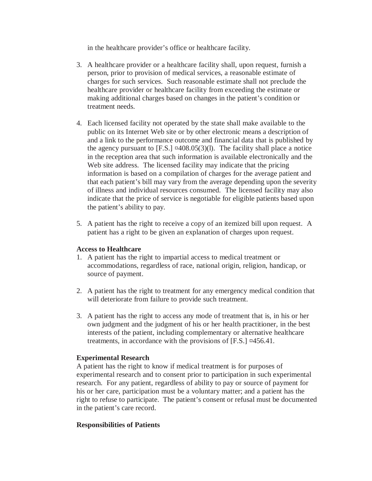in the healthcare provider's office or healthcare facility.

- 3. A healthcare provider or a healthcare facility shall, upon request, furnish a person, prior to provision of medical services, a reasonable estimate of charges for such services. Such reasonable estimate shall not preclude the healthcare provider or healthcare facility from exceeding the estimate or making additional charges based on changes in the patient's condition or treatment needs.
- 4. Each licensed facility not operated by the state shall make available to the public on its Internet Web site or by other electronic means a description of and a link to the performance outcome and financial data that is published by the agency pursuant to  $[**F.S.**] \times 408.05(3)(1)$ . The facility shall place a notice in the reception area that such information is available electronically and the Web site address. The licensed facility may indicate that the pricing information is based on a compilation of charges for the average patient and that each patient's bill may vary from the average depending upon the severity of illness and individual resources consumed. The licensed facility may also indicate that the price of service is negotiable for eligible patients based upon the patient's ability to pay.
- 5. A patient has the right to receive a copy of an itemized bill upon request. A patient has a right to be given an explanation of charges upon request.

#### **Access to Healthcare**

- 1. A patient has the right to impartial access to medical treatment or accommodations, regardless of race, national origin, religion, handicap, or source of payment.
- 2. A patient has the right to treatment for any emergency medical condition that will deteriorate from failure to provide such treatment.
- 3. A patient has the right to access any mode of treatment that is, in his or her own judgment and the judgment of his or her health practitioner, in the best interests of the patient, including complementary or alternative healthcare treatments, in accordance with the provisions of [F.S.] ¤456.41.

## **Experimental Research**

A patient has the right to know if medical treatment is for purposes of experimental research and to consent prior to participation in such experimental research. For any patient, regardless of ability to pay or source of payment for his or her care, participation must be a voluntary matter; and a patient has the right to refuse to participate. The patient's consent or refusal must be documented in the patient's care record.

#### **Responsibilities of Patients**